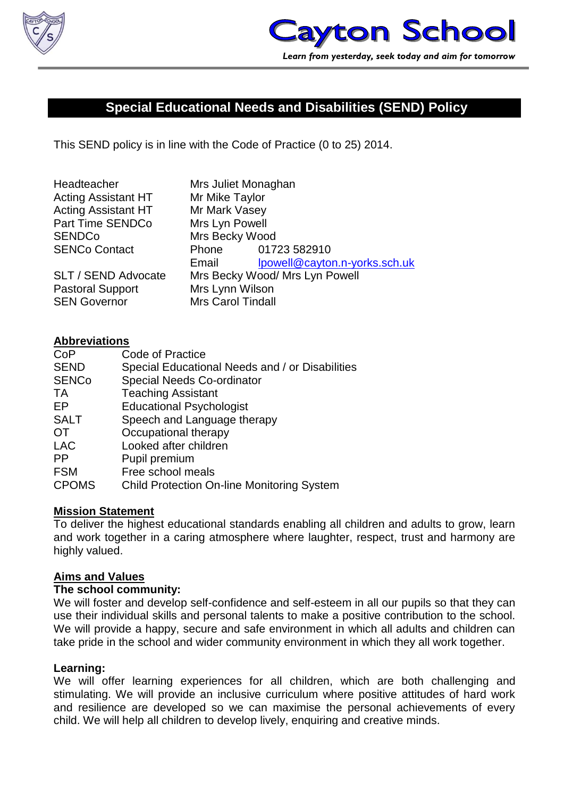

# **Special Educational Needs and Disabilities (SEND) Policy**

This SEND policy is in line with the Code of Practice (0 to 25) 2014.

| Headteacher                | Mrs Juliet Monaghan            |                               |
|----------------------------|--------------------------------|-------------------------------|
| <b>Acting Assistant HT</b> | Mr Mike Taylor                 |                               |
| <b>Acting Assistant HT</b> | Mr Mark Vasey                  |                               |
| <b>Part Time SENDCo</b>    | Mrs Lyn Powell                 |                               |
| <b>SENDCo</b>              | Mrs Becky Wood                 |                               |
| <b>SENCo Contact</b>       |                                | Phone 01723 582910            |
|                            | Email                          | lpowell@cayton.n-yorks.sch.uk |
| <b>SLT / SEND Advocate</b> | Mrs Becky Wood/ Mrs Lyn Powell |                               |
| <b>Pastoral Support</b>    | Mrs Lynn Wilson                |                               |
| <b>SEN Governor</b>        | <b>Mrs Carol Tindall</b>       |                               |

#### **Abbreviations**

| Code of Practice                                  |
|---------------------------------------------------|
| Special Educational Needs and / or Disabilities   |
| <b>Special Needs Co-ordinator</b>                 |
| <b>Teaching Assistant</b>                         |
| <b>Educational Psychologist</b>                   |
| Speech and Language therapy                       |
| Occupational therapy                              |
| Looked after children                             |
| Pupil premium                                     |
| Free school meals                                 |
| <b>Child Protection On-line Monitoring System</b> |
|                                                   |

#### **Mission Statement**

To deliver the highest educational standards enabling all children and adults to grow, learn and work together in a caring atmosphere where laughter, respect, trust and harmony are highly valued.

#### **Aims and Values**

#### **The school community:**

We will foster and develop self-confidence and self-esteem in all our pupils so that they can use their individual skills and personal talents to make a positive contribution to the school. We will provide a happy, secure and safe environment in which all adults and children can take pride in the school and wider community environment in which they all work together.

#### **Learning:**

We will offer learning experiences for all children, which are both challenging and stimulating. We will provide an inclusive curriculum where positive attitudes of hard work and resilience are developed so we can maximise the personal achievements of every child. We will help all children to develop lively, enquiring and creative minds.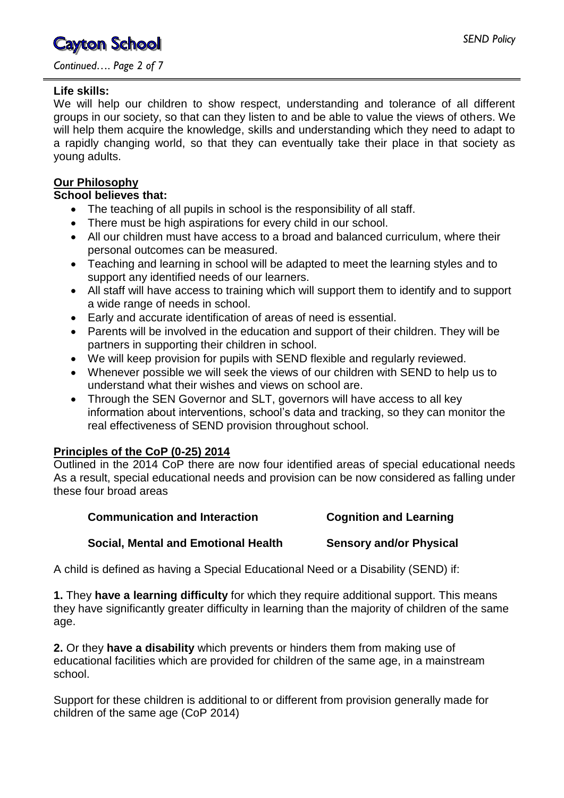*Continued…. Page 2 of 7*

#### **Life skills:**

We will help our children to show respect, understanding and tolerance of all different groups in our society, so that can they listen to and be able to value the views of others. We will help them acquire the knowledge, skills and understanding which they need to adapt to a rapidly changing world, so that they can eventually take their place in that society as young adults.

## **Our Philosophy**

#### **School believes that:**

- The teaching of all pupils in school is the responsibility of all staff.
- There must be high aspirations for every child in our school.
- All our children must have access to a broad and balanced curriculum, where their personal outcomes can be measured.
- Teaching and learning in school will be adapted to meet the learning styles and to support any identified needs of our learners.
- All staff will have access to training which will support them to identify and to support a wide range of needs in school.
- Early and accurate identification of areas of need is essential.
- Parents will be involved in the education and support of their children. They will be partners in supporting their children in school.
- We will keep provision for pupils with SEND flexible and regularly reviewed.
- Whenever possible we will seek the views of our children with SEND to help us to understand what their wishes and views on school are.
- Through the SEN Governor and SLT, governors will have access to all key information about interventions, school's data and tracking, so they can monitor the real effectiveness of SEND provision throughout school.

### **Principles of the CoP (0-25) 2014**

Outlined in the 2014 CoP there are now four identified areas of special educational needs As a result, special educational needs and provision can be now considered as falling under these four broad areas

| <b>Communication and Interaction</b> | <b>Cognition and Learning</b>  |
|--------------------------------------|--------------------------------|
| Social, Mental and Emotional Health  | <b>Sensory and/or Physical</b> |

A child is defined as having a Special Educational Need or a Disability (SEND) if:

**1.** They **have a learning difficulty** for which they require additional support. This means they have significantly greater difficulty in learning than the majority of children of the same age.

**2.** Or they **have a disability** which prevents or hinders them from making use of educational facilities which are provided for children of the same age, in a mainstream school.

Support for these children is additional to or different from provision generally made for children of the same age (CoP 2014)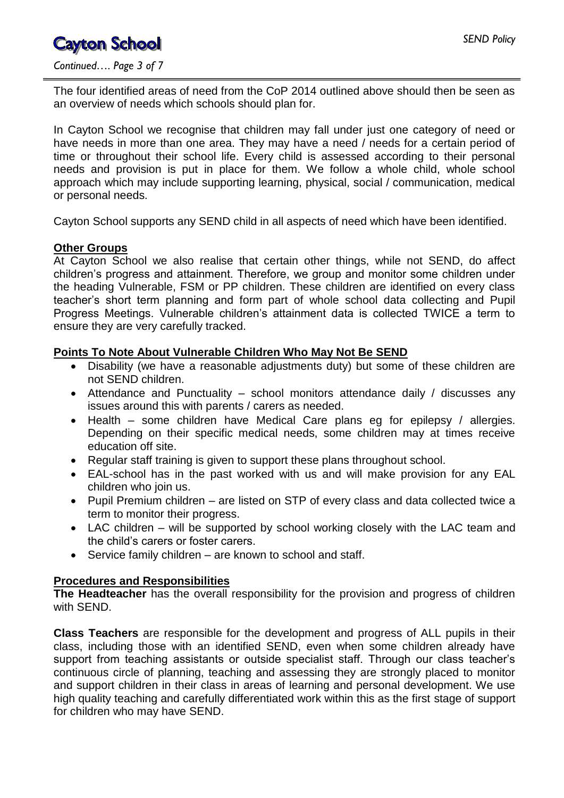*Continued…. Page 3 of 7*

The four identified areas of need from the CoP 2014 outlined above should then be seen as an overview of needs which schools should plan for.

In Cayton School we recognise that children may fall under just one category of need or have needs in more than one area. They may have a need / needs for a certain period of time or throughout their school life. Every child is assessed according to their personal needs and provision is put in place for them. We follow a whole child, whole school approach which may include supporting learning, physical, social / communication, medical or personal needs.

Cayton School supports any SEND child in all aspects of need which have been identified.

### **Other Groups**

At Cayton School we also realise that certain other things, while not SEND, do affect children's progress and attainment. Therefore, we group and monitor some children under the heading Vulnerable, FSM or PP children. These children are identified on every class teacher's short term planning and form part of whole school data collecting and Pupil Progress Meetings. Vulnerable children's attainment data is collected TWICE a term to ensure they are very carefully tracked.

### **Points To Note About Vulnerable Children Who May Not Be SEND**

- Disability (we have a reasonable adjustments duty) but some of these children are not SEND children.
- Attendance and Punctuality school monitors attendance daily / discusses any issues around this with parents / carers as needed.
- Health some children have Medical Care plans eg for epilepsy / allergies. Depending on their specific medical needs, some children may at times receive education off site.
- Regular staff training is given to support these plans throughout school.
- EAL-school has in the past worked with us and will make provision for any EAL children who join us.
- Pupil Premium children are listed on STP of every class and data collected twice a term to monitor their progress.
- LAC children will be supported by school working closely with the LAC team and the child's carers or foster carers.
- Service family children are known to school and staff.

### **Procedures and Responsibilities**

**The Headteacher** has the overall responsibility for the provision and progress of children with SEND.

**Class Teachers** are responsible for the development and progress of ALL pupils in their class, including those with an identified SEND, even when some children already have support from teaching assistants or outside specialist staff. Through our class teacher's continuous circle of planning, teaching and assessing they are strongly placed to monitor and support children in their class in areas of learning and personal development. We use high quality teaching and carefully differentiated work within this as the first stage of support for children who may have SEND.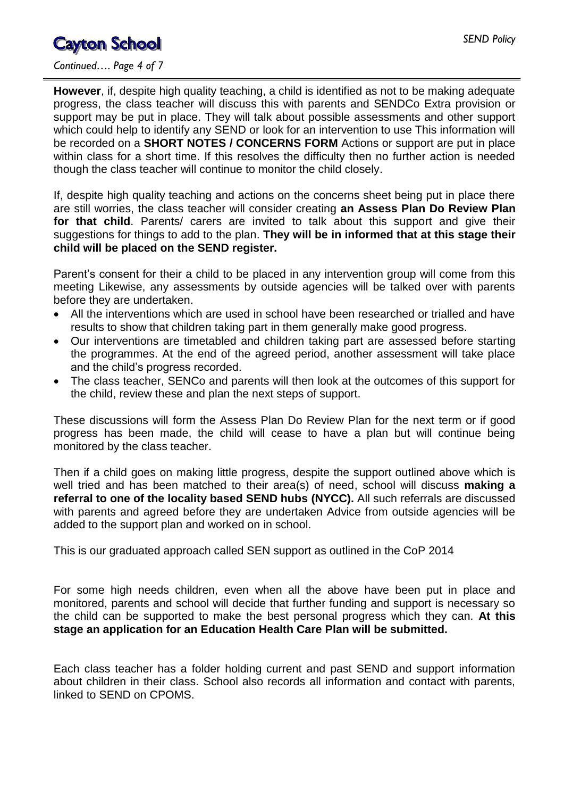#### *Continued…. Page 4 of 7*

**However**, if, despite high quality teaching, a child is identified as not to be making adequate progress, the class teacher will discuss this with parents and SENDCo Extra provision or support may be put in place. They will talk about possible assessments and other support which could help to identify any SEND or look for an intervention to use This information will be recorded on a **SHORT NOTES / CONCERNS FORM** Actions or support are put in place within class for a short time. If this resolves the difficulty then no further action is needed though the class teacher will continue to monitor the child closely.

If, despite high quality teaching and actions on the concerns sheet being put in place there are still worries, the class teacher will consider creating **an Assess Plan Do Review Plan**  for that child. Parents/ carers are invited to talk about this support and give their suggestions for things to add to the plan. **They will be in informed that at this stage their child will be placed on the SEND register.**

Parent's consent for their a child to be placed in any intervention group will come from this meeting Likewise, any assessments by outside agencies will be talked over with parents before they are undertaken.

- All the interventions which are used in school have been researched or trialled and have results to show that children taking part in them generally make good progress.
- Our interventions are timetabled and children taking part are assessed before starting the programmes. At the end of the agreed period, another assessment will take place and the child's progress recorded.
- The class teacher, SENCo and parents will then look at the outcomes of this support for the child, review these and plan the next steps of support.

These discussions will form the Assess Plan Do Review Plan for the next term or if good progress has been made, the child will cease to have a plan but will continue being monitored by the class teacher.

Then if a child goes on making little progress, despite the support outlined above which is well tried and has been matched to their area(s) of need, school will discuss **making a referral to one of the locality based SEND hubs (NYCC).** All such referrals are discussed with parents and agreed before they are undertaken Advice from outside agencies will be added to the support plan and worked on in school.

This is our graduated approach called SEN support as outlined in the CoP 2014

For some high needs children, even when all the above have been put in place and monitored, parents and school will decide that further funding and support is necessary so the child can be supported to make the best personal progress which they can. **At this stage an application for an Education Health Care Plan will be submitted.**

Each class teacher has a folder holding current and past SEND and support information about children in their class. School also records all information and contact with parents, linked to SEND on CPOMS.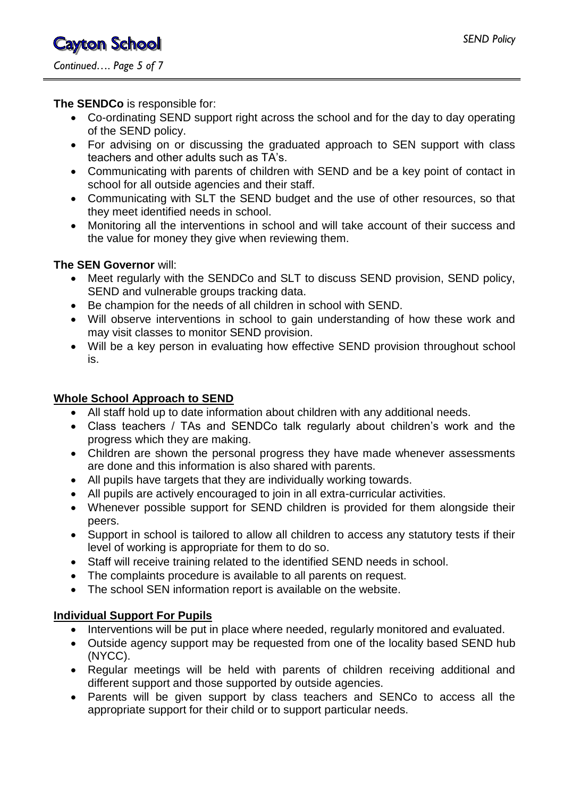### **The SENDCo** is responsible for:

- Co-ordinating SEND support right across the school and for the day to day operating of the SEND policy.
- For advising on or discussing the graduated approach to SEN support with class teachers and other adults such as TA's.
- Communicating with parents of children with SEND and be a key point of contact in school for all outside agencies and their staff.
- Communicating with SLT the SEND budget and the use of other resources, so that they meet identified needs in school.
- Monitoring all the interventions in school and will take account of their success and the value for money they give when reviewing them.

### **The SEN Governor** will:

- Meet regularly with the SENDCo and SLT to discuss SEND provision, SEND policy, SEND and vulnerable groups tracking data.
- Be champion for the needs of all children in school with SEND.
- Will observe interventions in school to gain understanding of how these work and may visit classes to monitor SEND provision.
- Will be a key person in evaluating how effective SEND provision throughout school is.

# **Whole School Approach to SEND**

- All staff hold up to date information about children with any additional needs.
- Class teachers / TAs and SENDCo talk regularly about children's work and the progress which they are making.
- Children are shown the personal progress they have made whenever assessments are done and this information is also shared with parents.
- All pupils have targets that they are individually working towards.
- All pupils are actively encouraged to join in all extra-curricular activities.
- Whenever possible support for SEND children is provided for them alongside their peers.
- Support in school is tailored to allow all children to access any statutory tests if their level of working is appropriate for them to do so.
- Staff will receive training related to the identified SEND needs in school.
- The complaints procedure is available to all parents on request.
- The school SEN information report is available on the website.

### **Individual Support For Pupils**

- Interventions will be put in place where needed, regularly monitored and evaluated.
- Outside agency support may be requested from one of the locality based SEND hub (NYCC).
- Regular meetings will be held with parents of children receiving additional and different support and those supported by outside agencies.
- Parents will be given support by class teachers and SENCo to access all the appropriate support for their child or to support particular needs.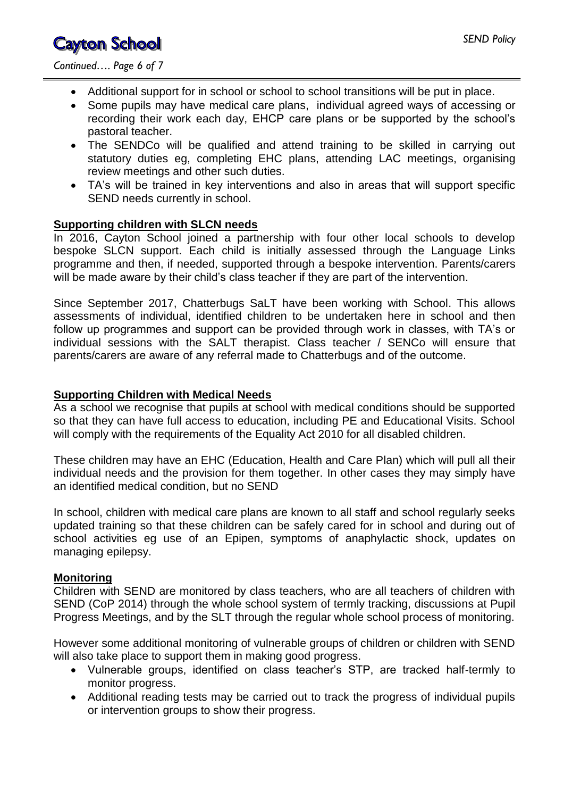*Continued…. Page 6 of 7*

- Additional support for in school or school to school transitions will be put in place.
- Some pupils may have medical care plans, individual agreed ways of accessing or recording their work each day, EHCP care plans or be supported by the school's pastoral teacher.
- The SENDCo will be qualified and attend training to be skilled in carrying out statutory duties eg, completing EHC plans, attending LAC meetings, organising review meetings and other such duties.
- TA's will be trained in key interventions and also in areas that will support specific SEND needs currently in school.

#### **Supporting children with SLCN needs**

In 2016, Cayton School joined a partnership with four other local schools to develop bespoke SLCN support. Each child is initially assessed through the Language Links programme and then, if needed, supported through a bespoke intervention. Parents/carers will be made aware by their child's class teacher if they are part of the intervention.

Since September 2017, Chatterbugs SaLT have been working with School. This allows assessments of individual, identified children to be undertaken here in school and then follow up programmes and support can be provided through work in classes, with TA's or individual sessions with the SALT therapist. Class teacher / SENCo will ensure that parents/carers are aware of any referral made to Chatterbugs and of the outcome.

### **Supporting Children with Medical Needs**

As a school we recognise that pupils at school with medical conditions should be supported so that they can have full access to education, including PE and Educational Visits. School will comply with the requirements of the Equality Act 2010 for all disabled children.

These children may have an EHC (Education, Health and Care Plan) which will pull all their individual needs and the provision for them together. In other cases they may simply have an identified medical condition, but no SEND

In school, children with medical care plans are known to all staff and school regularly seeks updated training so that these children can be safely cared for in school and during out of school activities eg use of an Epipen, symptoms of anaphylactic shock, updates on managing epilepsy.

### **Monitoring**

Children with SEND are monitored by class teachers, who are all teachers of children with SEND (CoP 2014) through the whole school system of termly tracking, discussions at Pupil Progress Meetings, and by the SLT through the regular whole school process of monitoring.

However some additional monitoring of vulnerable groups of children or children with SEND will also take place to support them in making good progress.

- Vulnerable groups, identified on class teacher's STP, are tracked half-termly to monitor progress.
- Additional reading tests may be carried out to track the progress of individual pupils or intervention groups to show their progress.